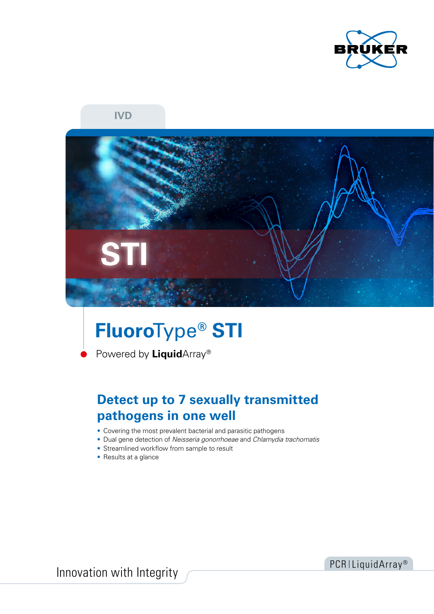

**IVD**



# **Fluoro**Type**® STI**

Powered by **Liquid**Array®

# **Detect up to 7 sexually transmitted pathogens in one well**

- Covering the most prevalent bacterial and parasitic pathogens
- Dual gene detection of *Neisseria gonorrhoeae* and *Chlamydia trachomatis*
- Streamlined workflow from sample to result
- Results at a glance

Innovation with Integrity **PCR ILiquidArray**<sup>®</sup>